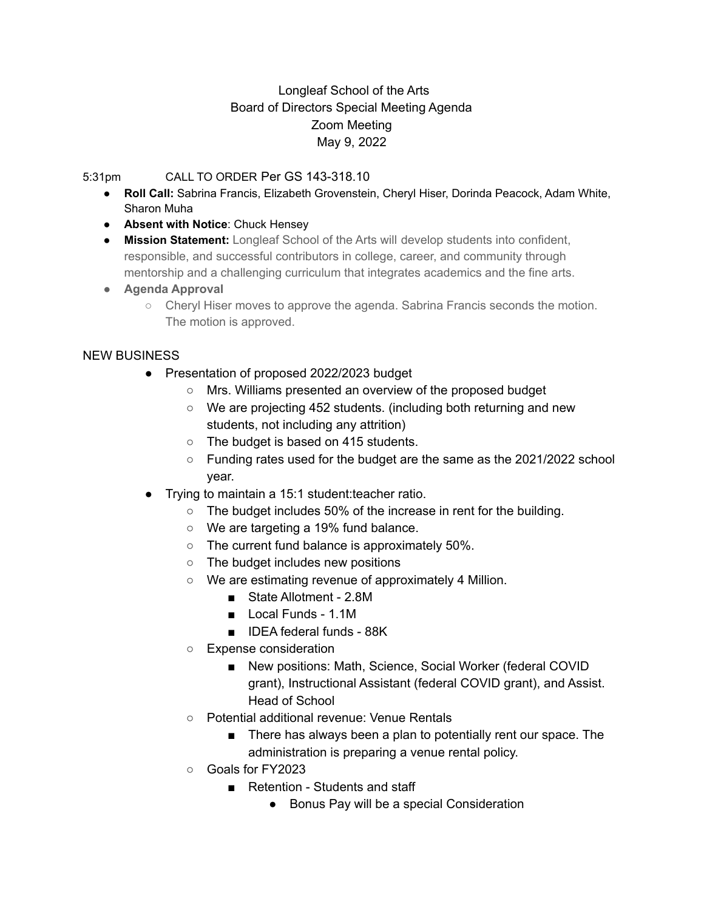## Longleaf School of the Arts Board of Directors Special Meeting Agenda Zoom Meeting May 9, 2022

## 5:31pm CALL TO ORDER Per GS 143-318.10

- **Roll Call:** Sabrina Francis, Elizabeth Grovenstein, Cheryl Hiser, Dorinda Peacock, Adam White, Sharon Muha
- **Absent with Notice**: Chuck Hensey
- **Mission Statement:** Longleaf School of the Arts will develop students into confident, responsible, and successful contributors in college, career, and community through mentorship and a challenging curriculum that integrates academics and the fine arts.
- **● Agenda Approval**
	- Cheryl Hiser moves to approve the agenda. Sabrina Francis seconds the motion. The motion is approved.

## NEW BUSINESS

- Presentation of proposed 2022/2023 budget
	- Mrs. Williams presented an overview of the proposed budget
	- We are projecting 452 students. (including both returning and new students, not including any attrition)
	- The budget is based on 415 students.
	- Funding rates used for the budget are the same as the 2021/2022 school year.
- Trying to maintain a 15:1 student:teacher ratio.
	- The budget includes 50% of the increase in rent for the building.
	- We are targeting a 19% fund balance.
	- The current fund balance is approximately 50%.
	- The budget includes new positions
	- We are estimating revenue of approximately 4 Million.
		- State Allotment 2.8M
		- Local Funds 1.1M
		- IDEA federal funds 88K
	- Expense consideration
		- New positions: Math, Science, Social Worker (federal COVID grant), Instructional Assistant (federal COVID grant), and Assist. Head of School
	- Potential additional revenue: Venue Rentals
		- There has always been a plan to potentially rent our space. The administration is preparing a venue rental policy.
	- Goals for FY2023
		- Retention Students and staff
			- Bonus Pay will be a special Consideration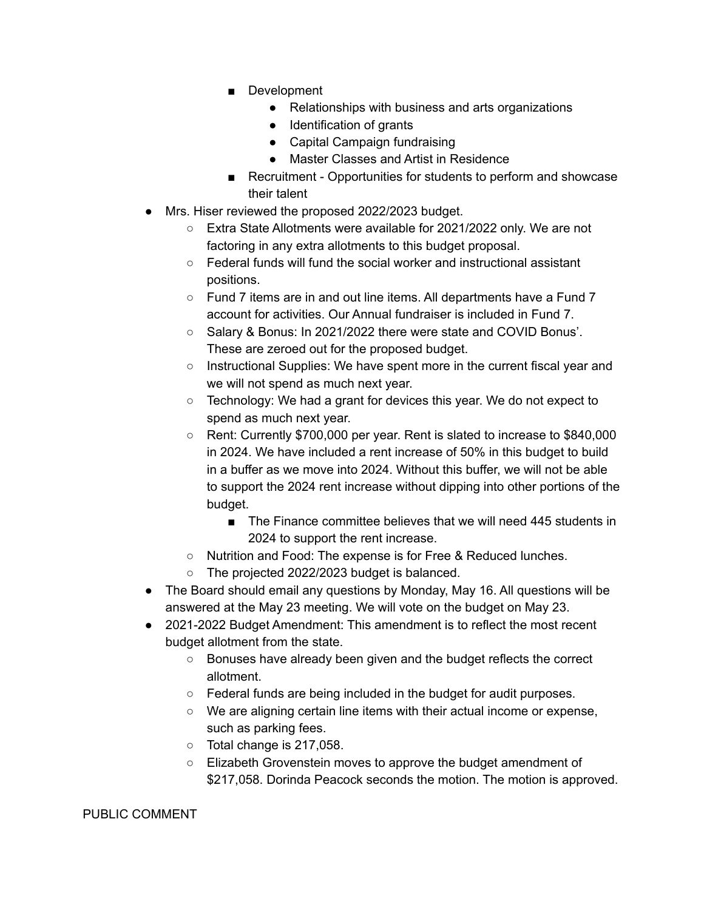- Development
	- Relationships with business and arts organizations
	- Identification of grants
	- Capital Campaign fundraising
	- Master Classes and Artist in Residence
- Recruitment Opportunities for students to perform and showcase their talent
- Mrs. Hiser reviewed the proposed 2022/2023 budget.
	- Extra State Allotments were available for 2021/2022 only. We are not factoring in any extra allotments to this budget proposal.
	- Federal funds will fund the social worker and instructional assistant positions.
	- Fund 7 items are in and out line items. All departments have a Fund 7 account for activities. Our Annual fundraiser is included in Fund 7.
	- Salary & Bonus: In 2021/2022 there were state and COVID Bonus'. These are zeroed out for the proposed budget.
	- o Instructional Supplies: We have spent more in the current fiscal year and we will not spend as much next year.
	- Technology: We had a grant for devices this year. We do not expect to spend as much next year.
	- Rent: Currently \$700,000 per year. Rent is slated to increase to \$840,000 in 2024. We have included a rent increase of 50% in this budget to build in a buffer as we move into 2024. Without this buffer, we will not be able to support the 2024 rent increase without dipping into other portions of the budget.
		- The Finance committee believes that we will need 445 students in 2024 to support the rent increase.
	- Nutrition and Food: The expense is for Free & Reduced lunches.
	- The projected 2022/2023 budget is balanced.
- The Board should email any questions by Monday, May 16. All questions will be answered at the May 23 meeting. We will vote on the budget on May 23.
- 2021-2022 Budget Amendment: This amendment is to reflect the most recent budget allotment from the state.
	- Bonuses have already been given and the budget reflects the correct allotment.
	- Federal funds are being included in the budget for audit purposes.
	- We are aligning certain line items with their actual income or expense, such as parking fees.
	- Total change is 217,058.
	- Elizabeth Grovenstein moves to approve the budget amendment of \$217,058. Dorinda Peacock seconds the motion. The motion is approved.

## PUBLIC COMMENT